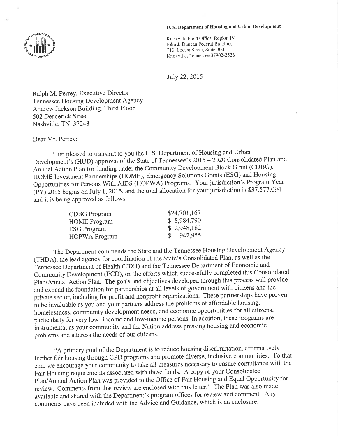## U. S. Department of Housing and Urban Development



July 22,2015

Ralph M. Perrey, Executive Director Tennessee Housing Development Agency Andrew Jackson Building, Third Floor 502 Deaderick Street Nashville, TN 37243

Dear Mr. Perrey:

I am pleased to transmit to you the U.S. Department of Housing and Urban Development's (HUD) approval of the State of Tennessee's 2015 - 2020 Consolidated Plan and Annual Action Plan for funding under the Community Development Block Grant (CDBG), HOME Investment Partnerships (HOME), Emergency Solutions Grants (ESG) and Housing Opportunities fbr persons With AIDS (HOPWA) Programs. Your jurisdiction's Program Year (PY) 2015 begins on July 1, 2015, and the total allocation for your jurisdiction is  $$37,577,094$ and it is being approved as follows:

| CDBG Program         | \$24,701,167         |
|----------------------|----------------------|
| <b>HOME</b> Program  | \$8,984,790          |
| <b>ESG Program</b>   | \$2,948,182          |
| <b>HOPWA</b> Program | $\frac{\$}{942,955}$ |

The Department commends the State and the Tennessee Housing Development Agency (THDA), the lead agency for coordination of the State's Consolidated Plan, as well as the Tennessee Department of Health (TDH) and the Tennessee Department of Economic and Community Development (ECD), on the efforts which successfully completed this Consolidated plan/Annual Action plan. The goals and objectives developed through this process will provide and expand the foundation for partnerships at all levels of government with citizens and the private sector, including for profit and nonprofit organizations. These partnerships have proven to be invaluable as you and your partners address the problems of affordable housing, homelessness, community development needs, and economic opportunities for all citizens' particularly for very low- income and low-income persons. In addition, these programs are ìnstrumental as your community and the Nation address pressing housing and economic problems and address the needs of our citizens.

"A primary goal of the Department is to reduce housing discrimination, affirmatively further fair housing through CPD programs and promote diverse, inclusive communities. To that end, we encourage your community to take all measures necessary to ensure compliance with the Fair Housing requiiements associated with these funds. A copy of your Consolidated plan/Annual Action plan was provided to the Office of Fair Housing and Equal Opportunity for review. Comments from that review are enclosed with this letter." The Plan was also made available and shared with the Department's program offices for review and comment. Any comments have been included with the Advice and Guidance, which is an enclosure.

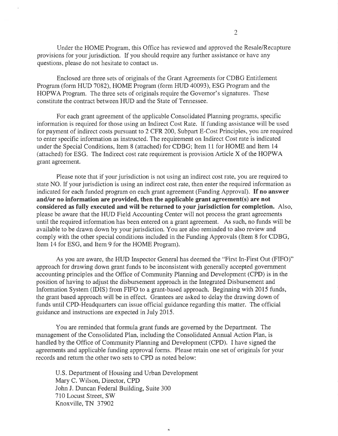Under the HOME Program, this Office has reviewed and approved the Resale/Recapture provisions for your jurisdiction. If you should require any further assistance or have any questions, please do not hesitate to contact us.

Enclosed are three sets of originals of the Grant Agreements for CDBG Entitlement Program (form HUD 7082), HOME Program (form HUD 40093), ESG Program and the HOPWA Program. The three sets of originals require the Governor's signatures. These constitute the contract between HUD and the State of Tennessee.

For each grant agreement of the applicable Consolidated Planning programs, specific information is required for those nsing an Indirect Cost Rate. If funding assistance will be used for payment of indirect costs pursuant to 2 CFR 200, Subpart E-Cost Principles, you are required to enter specific information as instructed. The requirement on lndirect Cost rate is indicated under the Special Conditions, Item 8 (attached) for CDBG; Item 1l for HOME and Item 14 (attached) for ESG. The Indirect cost rate requirement is provision Article X of the HOPV/A grant agreement.

Please note that if your jurisdiction is not using an indirect cost rate, you are required to state NO. If your jurisdiction is using an indirect cost rate, then enter the required information as indicated for each funded program on each grant agreement (Funding Approval). If no answer and/or no information are provided, then the applicable grant agreement(s) are not considered as fully executed and will be returned to your jurisdiction for completion. Also, please be aware that the HUD Field Accounting Center will not process the grant agreements until the required information has been entered on a grant agreement. As such, no funds will be available to be drawn down by your jurisdiction. You are also reminded to also review and comply with the other special conditions included in the Funding Approvals (Item 8 for CDBG, Item 14 for ESG, and Item 9 for the HOME Program).

As you are aware, the HUD Inspector General has deemed the "First In-First Out (FIFO)" approach for drawing down grant funds to be inconsistent with generally accepted government accounting principles and the Office of Community Planning and Development (CPD) is in the position of having to adjust the disbursement approach in the lntegrated Disbursement and Information System (IDIS) from FIFO to a grant-based approach. Beginning with 2015 funds, the grant based approach will be in effect. Grantees are asked to delay the drawing down of funds until CPD-Headquarters can issue official guidance regarding this matter. The official guidance and instructions are expected in July 2015.

You are reminded that formula grant funds are governed by the Department. The management of the Consolidated Plan, including the Consolidated Annual Action Plan, is handled by the Office of Community Planning and Development (CPD). I have signed the agreements and applicable funding approval forms. Please retain one set of originals for your records and return the other two sets to CPD as noted below:

U,S. Department of Housing and Urban Development Mary C. Wilson, Director, CPD John J. Duncan Federal Building, Suite 300 710 Locust Street, SW Knoxville, TN 37902